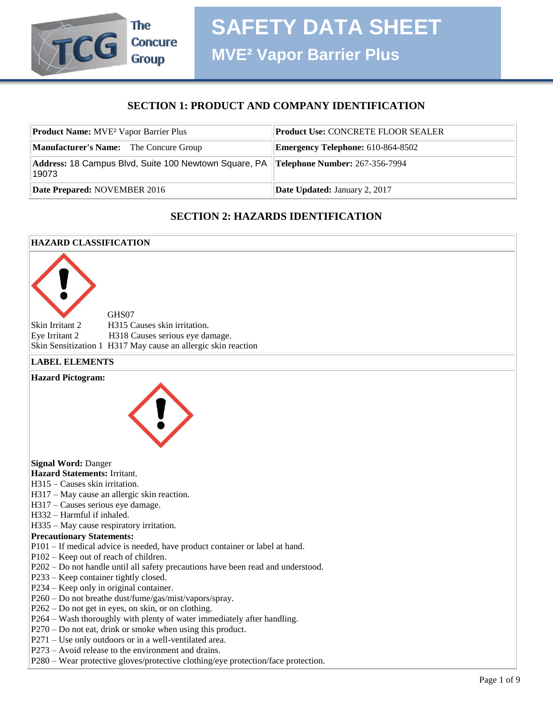

## **SECTION 1: PRODUCT AND COMPANY IDENTIFICATION**

| <b>Product Name:</b> MVE <sup>2</sup> Vapor Barrier Plus                                      | <b>Product Use: CONCRETE FLOOR SEALER</b> |
|-----------------------------------------------------------------------------------------------|-------------------------------------------|
| <b>Manufacturer's Name:</b> The Concure Group                                                 | <b>Emergency Telephone: 610-864-8502</b>  |
| Address: 18 Campus Blvd, Suite 100 Newtown Square, PA Telephone Number: 267-356-7994<br>19073 |                                           |
| Date Prepared: NOVEMBER 2016                                                                  | <b>Date Updated: January 2, 2017</b>      |

## **SECTION 2: HAZARDS IDENTIFICATION**

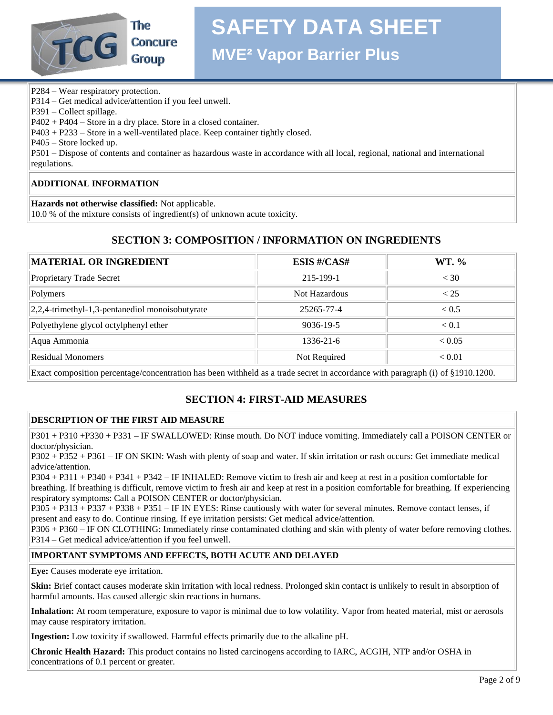

# **Concure**

# **SAFETY DATA SHEET**

**MVE² Vapor Barrier Plus**

P284 – Wear respiratory protection.

P314 – Get medical advice/attention if you feel unwell.

P391 – Collect spillage.

P402 + P404 – Store in a dry place. Store in a closed container.

P403 + P233 – Store in a well-ventilated place. Keep container tightly closed.

P405 – Store locked up.

P501 – Dispose of contents and container as hazardous waste in accordance with all local, regional, national and international regulations.

## **ADDITIONAL INFORMATION**

**Hazards not otherwise classified:** Not applicable.

10.0 % of the mixture consists of ingredient(s) of unknown acute toxicity.

## **SECTION 3: COMPOSITION / INFORMATION ON INGREDIENTS**

| MATERIAL OR INGREDIENT                              | <b>ESIS #/CAS#</b> | WT. %        |
|-----------------------------------------------------|--------------------|--------------|
| Proprietary Trade Secret                            | 215-199-1          | < 30         |
| Polymers                                            | Not Hazardous      | < 25         |
| $ 2,2,4$ -trimethyl-1,3-pentanediol monoisobutyrate | 25265-77-4         | ${}_{< 0.5}$ |
| Polyethylene glycol octylphenyl ether               | $9036 - 19 - 5$    | < 0.1        |
| Aqua Ammonia                                        | $1336 - 21 - 6$    | < 0.05       |
| Residual Monomers                                   | Not Required       | < 0.01       |
|                                                     |                    |              |

Exact composition percentage/concentration has been withheld as a trade secret in accordance with paragraph (i) of §1910.1200.

## **SECTION 4: FIRST-AID MEASURES**

## **DESCRIPTION OF THE FIRST AID MEASURE**

P301 + P310 +P330 + P331 – IF SWALLOWED: Rinse mouth. Do NOT induce vomiting. Immediately call a POISON CENTER or doctor/physician.

P302 + P352 + P361 – IF ON SKIN: Wash with plenty of soap and water. If skin irritation or rash occurs: Get immediate medical advice/attention.

P304 + P311 + P340 + P341 + P342 – IF INHALED: Remove victim to fresh air and keep at rest in a position comfortable for breathing. If breathing is difficult, remove victim to fresh air and keep at rest in a position comfortable for breathing. If experiencing respiratory symptoms: Call a POISON CENTER or doctor/physician.

P305 + P313 + P337 + P338 + P351 – IF IN EYES: Rinse cautiously with water for several minutes. Remove contact lenses, if present and easy to do. Continue rinsing. If eye irritation persists: Get medical advice/attention.

P306 + P360 – IF ON CLOTHING: Immediately rinse contaminated clothing and skin with plenty of water before removing clothes. P314 – Get medical advice/attention if you feel unwell.

## **IMPORTANT SYMPTOMS AND EFFECTS, BOTH ACUTE AND DELAYED**

**Eye:** Causes moderate eye irritation.

**Skin:** Brief contact causes moderate skin irritation with local redness. Prolonged skin contact is unlikely to result in absorption of harmful amounts. Has caused allergic skin reactions in humans.

**Inhalation:** At room temperature, exposure to vapor is minimal due to low volatility. Vapor from heated material, mist or aerosols may cause respiratory irritation.

**Ingestion:** Low toxicity if swallowed. Harmful effects primarily due to the alkaline pH.

**Chronic Health Hazard:** This product contains no listed carcinogens according to IARC, ACGIH, NTP and/or OSHA in concentrations of 0.1 percent or greater.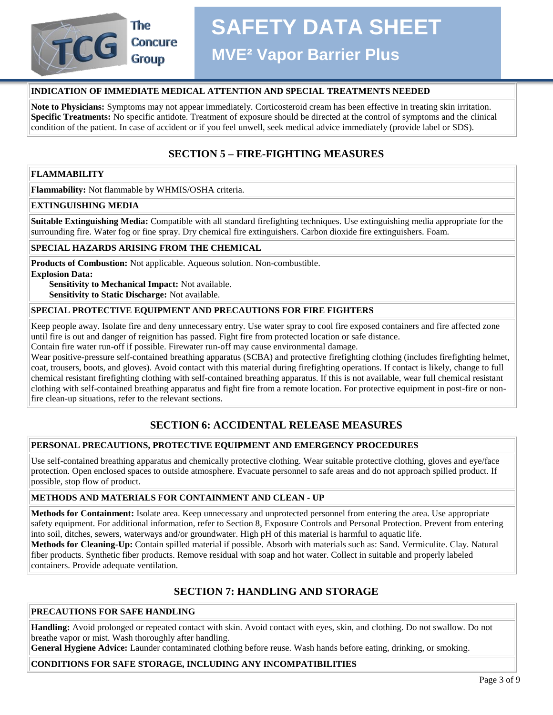

## **Concure**

# **SAFETY DATA SHEET**

**MVE² Vapor Barrier Plus**

## **INDICATION OF IMMEDIATE MEDICAL ATTENTION AND SPECIAL TREATMENTS NEEDED**

**Note to Physicians:** Symptoms may not appear immediately. Corticosteroid cream has been effective in treating skin irritation. **Specific Treatments:** No specific antidote. Treatment of exposure should be directed at the control of symptoms and the clinical condition of the patient. In case of accident or if you feel unwell, seek medical advice immediately (provide label or SDS).

## **SECTION 5 – FIRE-FIGHTING MEASURES**

## **FLAMMABILITY**

**Flammability:** Not flammable by WHMIS/OSHA criteria.

## **EXTINGUISHING MEDIA**

**Suitable Extinguishing Media:** Compatible with all standard firefighting techniques. Use extinguishing media appropriate for the surrounding fire. Water fog or fine spray. Dry chemical fire extinguishers. Carbon dioxide fire extinguishers. Foam.

## **SPECIAL HAZARDS ARISING FROM THE CHEMICAL**

**Products of Combustion:** Not applicable. Aqueous solution. Non-combustible. **Explosion Data:** 

 **Sensitivity to Mechanical Impact:** Not available. **Sensitivity to Static Discharge:** Not available.

## **SPECIAL PROTECTIVE EQUIPMENT AND PRECAUTIONS FOR FIRE FIGHTERS**

Keep people away. Isolate fire and deny unnecessary entry. Use water spray to cool fire exposed containers and fire affected zone until fire is out and danger of reignition has passed. Fight fire from protected location or safe distance.

Contain fire water run-off if possible. Firewater run-off may cause environmental damage.

Wear positive-pressure self-contained breathing apparatus (SCBA) and protective firefighting clothing (includes firefighting helmet, coat, trousers, boots, and gloves). Avoid contact with this material during firefighting operations. If contact is likely, change to full chemical resistant firefighting clothing with self-contained breathing apparatus. If this is not available, wear full chemical resistant clothing with self-contained breathing apparatus and fight fire from a remote location. For protective equipment in post-fire or nonfire clean-up situations, refer to the relevant sections.

## **SECTION 6: ACCIDENTAL RELEASE MEASURES**

## **PERSONAL PRECAUTIONS, PROTECTIVE EQUIPMENT AND EMERGENCY PROCEDURES**

Use self-contained breathing apparatus and chemically protective clothing. Wear suitable protective clothing, gloves and eye/face protection. Open enclosed spaces to outside atmosphere. Evacuate personnel to safe areas and do not approach spilled product. If possible, stop flow of product.

## **METHODS AND MATERIALS FOR CONTAINMENT AND CLEAN - UP**

**Methods for Containment:** Isolate area. Keep unnecessary and unprotected personnel from entering the area. Use appropriate safety equipment. For additional information, refer to Section 8, Exposure Controls and Personal Protection. Prevent from entering into soil, ditches, sewers, waterways and/or groundwater. High pH of this material is harmful to aquatic life. **Methods for Cleaning-Up:** Contain spilled material if possible. Absorb with materials such as: Sand. Vermiculite. Clay. Natural fiber products. Synthetic fiber products. Remove residual with soap and hot water. Collect in suitable and properly labeled containers. Provide adequate ventilation.

## **SECTION 7: HANDLING AND STORAGE**

## **PRECAUTIONS FOR SAFE HANDLING**

**Handling:** Avoid prolonged or repeated contact with skin. Avoid contact with eyes, skin, and clothing. Do not swallow. Do not breathe vapor or mist. Wash thoroughly after handling.

**General Hygiene Advice:** Launder contaminated clothing before reuse. Wash hands before eating, drinking, or smoking.

## **CONDITIONS FOR SAFE STORAGE, INCLUDING ANY INCOMPATIBILITIES**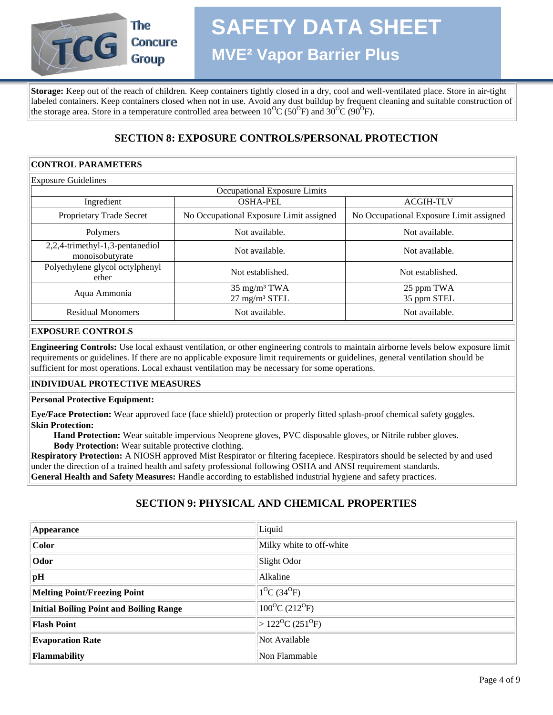

**MVE² Vapor Barrier Plus**

**Storage:** Keep out of the reach of children. Keep containers tightly closed in a dry, cool and well-ventilated place. Store in air-tight labeled containers. Keep containers closed when not in use. Avoid any dust buildup by frequent cleaning and suitable construction of the storage area. Store in a temperature controlled area between  $10^{0}C(50^{0}F)$  and  $30^{0}C(90^{0}F)$ .

## **SECTION 8: EXPOSURE CONTROLS/PERSONAL PROTECTION**

## **CONTROL PARAMETERS**

| <b>Exposure Guidelines</b>                         |                                                     |                                         |
|----------------------------------------------------|-----------------------------------------------------|-----------------------------------------|
|                                                    | Occupational Exposure Limits                        |                                         |
| Ingredient                                         | <b>OSHA-PEL</b>                                     | <b>ACGIH-TLV</b>                        |
| Proprietary Trade Secret                           | No Occupational Exposure Limit assigned             | No Occupational Exposure Limit assigned |
| Polymers                                           | Not available.                                      | Not available.                          |
| 2,2,4-trimethyl-1,3-pentanediol<br>monoisobutyrate | Not available.                                      | Not available.                          |
| Polyethylene glycol octylphenyl<br>ether           | Not established.                                    | Not established.                        |
| Aqua Ammonia                                       | $35 \text{ mg/m}^3$ TWA<br>$27 \text{ mg/m}^3$ STEL | 25 ppm TWA<br>35 ppm STEL               |
| <b>Residual Monomers</b>                           | Not available.                                      | Not available.                          |

## **EXPOSURE CONTROLS**

**Engineering Controls:** Use local exhaust ventilation, or other engineering controls to maintain airborne levels below exposure limit requirements or guidelines. If there are no applicable exposure limit requirements or guidelines, general ventilation should be sufficient for most operations. Local exhaust ventilation may be necessary for some operations.

## **INDIVIDUAL PROTECTIVE MEASURES**

## **Personal Protective Equipment:**

**Eye/Face Protection:** Wear approved face (face shield) protection or properly fitted splash-proof chemical safety goggles. **Skin Protection:**

 **Hand Protection:** Wear suitable impervious Neoprene gloves, PVC disposable gloves, or Nitrile rubber gloves.  **Body Protection:** Wear suitable protective clothing.

**Respiratory Protection:** A NIOSH approved Mist Respirator or filtering facepiece. Respirators should be selected by and used under the direction of a trained health and safety professional following OSHA and ANSI requirement standards. **General Health and Safety Measures:** Handle according to established industrial hygiene and safety practices.

## **SECTION 9: PHYSICAL AND CHEMICAL PROPERTIES**

| <b>Appearance</b>                              | Liquid                                     |
|------------------------------------------------|--------------------------------------------|
| <b>Color</b>                                   | Milky white to off-white                   |
| Odor                                           | Slight Odor                                |
| pH                                             | Alkaline                                   |
| <b>Melting Point/Freezing Point</b>            | $1^{0}C(34^{0}F)$                          |
| <b>Initial Boiling Point and Boiling Range</b> | $100^{\circ}C(212^{\circ}F)$               |
| <b>Flash Point</b>                             | $>122$ <sup>o</sup> C (251 <sup>o</sup> F) |
| <b>Evaporation Rate</b>                        | Not Available                              |
| <b>Flammability</b>                            | Non Flammable                              |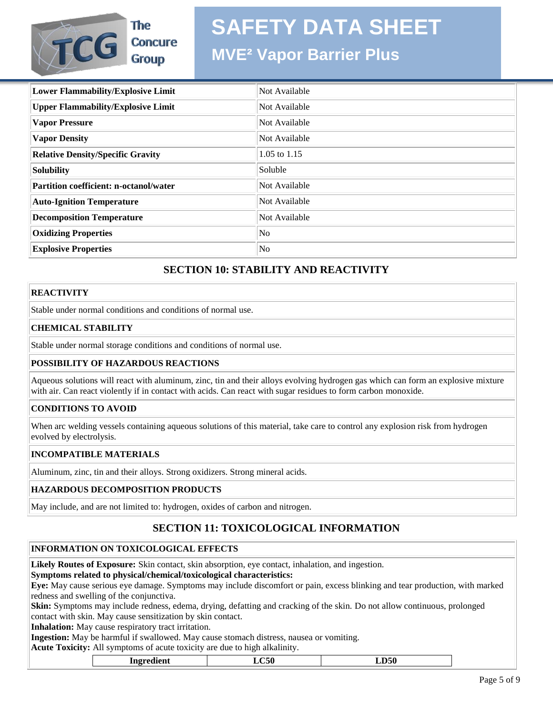## **MVE² Vapor Barrier Plus**

| Lower Flammability/Explosive Limit        | Not Available  |
|-------------------------------------------|----------------|
| <b>Upper Flammability/Explosive Limit</b> | Not Available  |
| <b>Vapor Pressure</b>                     | Not Available  |
| <b>Vapor Density</b>                      | Not Available  |
| <b>Relative Density/Specific Gravity</b>  | 1.05 to $1.15$ |
| Solubility                                | Soluble        |
| Partition coefficient: n-octanol/water    | Not Available  |
| <b>Auto-Ignition Temperature</b>          | Not Available  |
| <b>Decomposition Temperature</b>          | Not Available  |
| <b>Oxidizing Properties</b>               | No             |
| <b>Explosive Properties</b>               | No             |

## **SECTION 10: STABILITY AND REACTIVITY**

## **REACTIVITY**

Stable under normal conditions and conditions of normal use.

The

**Concure** 

**Group** 

## **CHEMICAL STABILITY**

**TCG** 

Stable under normal storage conditions and conditions of normal use.

## **POSSIBILITY OF HAZARDOUS REACTIONS**

Aqueous solutions will react with aluminum, zinc, tin and their alloys evolving hydrogen gas which can form an explosive mixture with air. Can react violently if in contact with acids. Can react with sugar residues to form carbon monoxide.

## **CONDITIONS TO AVOID**

When arc welding vessels containing aqueous solutions of this material, take care to control any explosion risk from hydrogen evolved by electrolysis.

## **INCOMPATIBLE MATERIALS**

Aluminum, zinc, tin and their alloys. Strong oxidizers. Strong mineral acids.

## **HAZARDOUS DECOMPOSITION PRODUCTS**

May include, and are not limited to: hydrogen, oxides of carbon and nitrogen.

## **SECTION 11: TOXICOLOGICAL INFORMATION**

## **INFORMATION ON TOXICOLOGICAL EFFECTS**

**Likely Routes of Exposure:** Skin contact, skin absorption, eye contact, inhalation, and ingestion.

## **Symptoms related to physical/chemical/toxicological characteristics:**

**Eye:** May cause serious eye damage. Symptoms may include discomfort or pain, excess blinking and tear production, with marked redness and swelling of the conjunctiva.

**Skin:** Symptoms may include redness, edema, drying, defatting and cracking of the skin. Do not allow continuous, prolonged contact with skin. May cause sensitization by skin contact.

**Inhalation:** May cause respiratory tract irritation.

**Ingestion:** May be harmful if swallowed. May cause stomach distress, nausea or vomiting.

**Acute Toxicity:** All symptoms of acute toxicity are due to high alkalinity.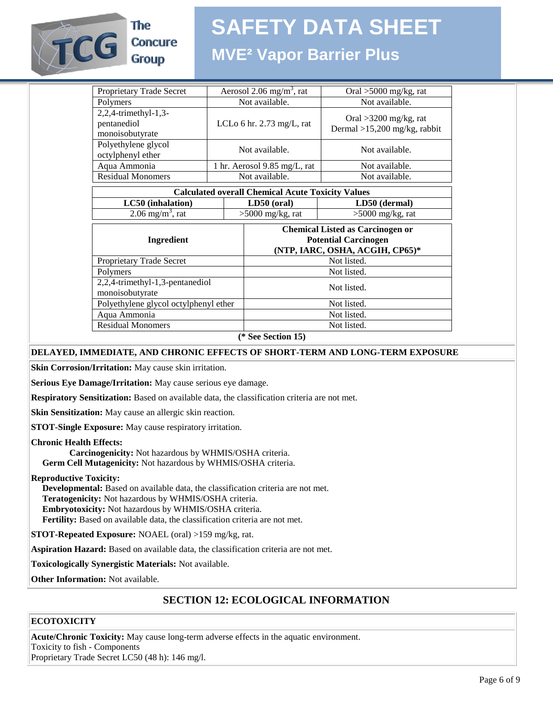

## The **Concure Group**

## **SAFETY DATA SHEET**

## **MVE² Vapor Barrier Plus**

| Proprietary Trade Secret                                 |                                      | Aerosol $2.06$ mg/m <sup>3</sup> , rat                                                                    | Oral $>5000$ mg/kg, rat                                   |  |
|----------------------------------------------------------|--------------------------------------|-----------------------------------------------------------------------------------------------------------|-----------------------------------------------------------|--|
| Polymers                                                 | Not available.                       |                                                                                                           | Not available.                                            |  |
| 2,2,4-trimethyl-1,3-<br>pentanediol<br>monoisobutyrate   | LCLo 6 hr. $2.73 \text{ mg/L}$ , rat |                                                                                                           | Oral $>3200$ mg/kg, rat<br>Dermal $>15,200$ mg/kg, rabbit |  |
| Polyethylene glycol<br>octylphenyl ether                 |                                      | Not available.                                                                                            | Not available.                                            |  |
| Aqua Ammonia                                             |                                      | 1 hr. Aerosol 9.85 mg/L, rat                                                                              | Not available.                                            |  |
| <b>Residual Monomers</b>                                 | Not available.                       |                                                                                                           | Not available.                                            |  |
| <b>Calculated overall Chemical Acute Toxicity Values</b> |                                      |                                                                                                           |                                                           |  |
| LC50 (inhalation)                                        |                                      | $LD50$ (oral)                                                                                             | LD50 (dermal)                                             |  |
| $2.06$ mg/m <sup>3</sup> , rat                           |                                      | >5000 mg/kg, rat                                                                                          | $>5000$ mg/kg, rat                                        |  |
| Ingredient                                               |                                      | <b>Chemical Listed as Carcinogen or</b><br><b>Potential Carcinogen</b><br>(NTP, IARC, OSHA, ACGIH, CP65)* |                                                           |  |
| Proprietary Trade Secret                                 |                                      |                                                                                                           | Not listed.                                               |  |
| Polymers                                                 |                                      | Not listed.                                                                                               |                                                           |  |
| 2,2,4-trimethyl-1,3-pentanediol<br>monoisobutyrate       |                                      | Not listed.                                                                                               |                                                           |  |
| Polyethylene glycol octylphenyl ether                    |                                      |                                                                                                           | Not listed.                                               |  |
| Aqua Ammonia                                             |                                      |                                                                                                           | Not listed.                                               |  |
| <b>Residual Monomers</b>                                 |                                      |                                                                                                           | Not listed.                                               |  |
|                                                          |                                      |                                                                                                           |                                                           |  |

**(\* See Section 15)**

## **DELAYED, IMMEDIATE, AND CHRONIC EFFECTS OF SHORT-TERM AND LONG-TERM EXPOSURE**

**Skin Corrosion/Irritation:** May cause skin irritation.

**Serious Eye Damage/Irritation:** May cause serious eye damage.

**Respiratory Sensitization:** Based on available data, the classification criteria are not met.

**Skin Sensitization:** May cause an allergic skin reaction.

**STOT-Single Exposure:** May cause respiratory irritation.

#### **Chronic Health Effects:**

 **Carcinogenicity:** Not hazardous by WHMIS/OSHA criteria.  **Germ Cell Mutagenicity:** Not hazardous by WHMIS/OSHA criteria.

#### **Reproductive Toxicity:**

 **Developmental:** Based on available data, the classification criteria are not met.  **Teratogenicity:** Not hazardous by WHMIS/OSHA criteria.  **Embryotoxicity:** Not hazardous by WHMIS/OSHA criteria.  **Fertility:** Based on available data, the classification criteria are not met.

**STOT-Repeated Exposure:** NOAEL (oral) >159 mg/kg, rat.

**Aspiration Hazard:** Based on available data, the classification criteria are not met.

**Toxicologically Synergistic Materials:** Not available.

**Other Information:** Not available.

## **SECTION 12: ECOLOGICAL INFORMATION**

## **ECOTOXICITY**

**Acute/Chronic Toxicity:** May cause long-term adverse effects in the aquatic environment. Toxicity to fish - Components Proprietary Trade Secret LC50 (48 h): 146 mg/l.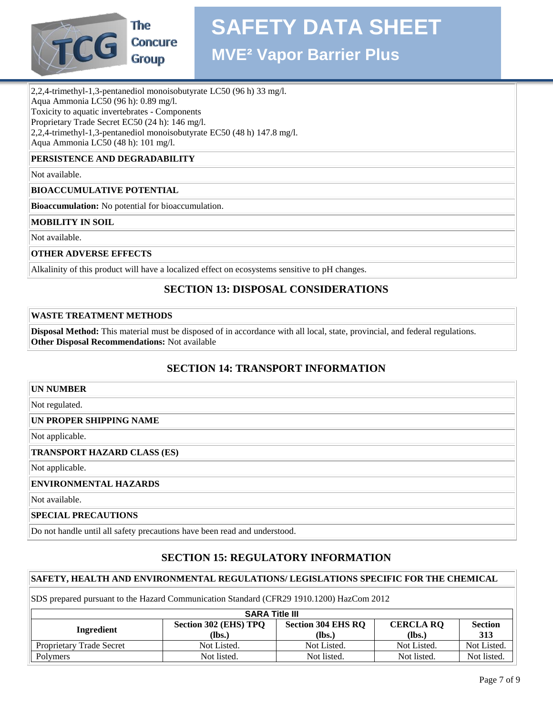

**MVE² Vapor Barrier Plus**

2,2,4-trimethyl-1,3-pentanediol monoisobutyrate LC50 (96 h) 33 mg/l. Aqua Ammonia LC50 (96 h): 0.89 mg/l. Toxicity to aquatic invertebrates - Components Proprietary Trade Secret EC50 (24 h): 146 mg/l. 2,2,4-trimethyl-1,3-pentanediol monoisobutyrate EC50 (48 h) 147.8 mg/l. Aqua Ammonia LC50 (48 h): 101 mg/l.

## **PERSISTENCE AND DEGRADABILITY**

Not available.

## **BIOACCUMULATIVE POTENTIAL**

**Bioaccumulation:** No potential for bioaccumulation.

#### **MOBILITY IN SOIL**

Not available.

#### **OTHER ADVERSE EFFECTS**

Alkalinity of this product will have a localized effect on ecosystems sensitive to pH changes.

## **SECTION 13: DISPOSAL CONSIDERATIONS**

#### **WASTE TREATMENT METHODS**

**Disposal Method:** This material must be disposed of in accordance with all local, state, provincial, and federal regulations. **Other Disposal Recommendations:** Not available

## **SECTION 14: TRANSPORT INFORMATION**

#### **UN NUMBER**

Not regulated.

#### **UN PROPER SHIPPING NAME**

Not applicable.

#### **TRANSPORT HAZARD CLASS (ES)**

Not applicable.

#### **ENVIRONMENTAL HAZARDS**

Not available.

#### **SPECIAL PRECAUTIONS**

Do not handle until all safety precautions have been read and understood.

## **SECTION 15: REGULATORY INFORMATION**

## **SAFETY, HEALTH AND ENVIRONMENTAL REGULATIONS/ LEGISLATIONS SPECIFIC FOR THE CHEMICAL**

SDS prepared pursuant to the Hazard Communication Standard (CFR29 1910.1200) HazCom 2012

| <b>SARA Title III</b>                                                                                                                       |             |             |             |             |  |
|---------------------------------------------------------------------------------------------------------------------------------------------|-------------|-------------|-------------|-------------|--|
| Section 302 (EHS) TPQ<br><b>Section 304 EHS RQ</b><br><b>CERCLA RQ</b><br><b>Section</b><br>Ingredient<br>(Ibs.)<br>313<br>(lbs.)<br>(lbs.) |             |             |             |             |  |
| Proprietary Trade Secret                                                                                                                    | Not Listed. | Not Listed. | Not Listed. | Not Listed. |  |
| Polymers                                                                                                                                    | Not listed. | Not listed. | Not listed. | Not listed. |  |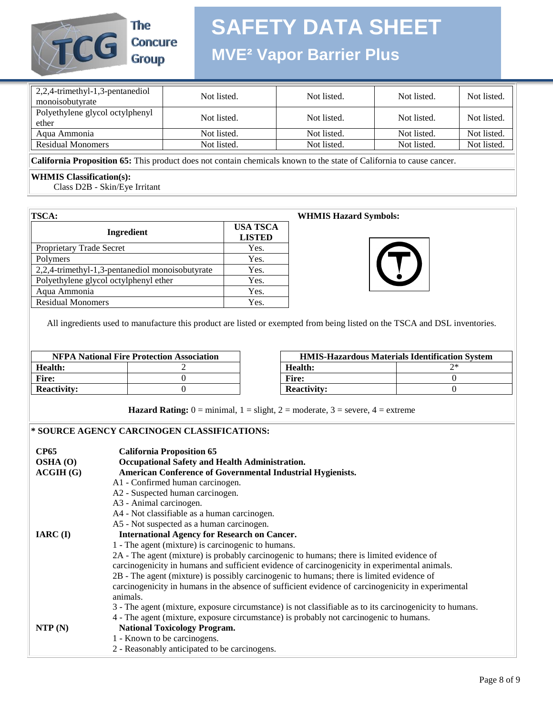

## **MVE² Vapor Barrier Plus**

| 2,2,4-trimethyl-1,3-pentanediol<br>monoisobutyrate | Not listed. | Not listed. | Not listed. | Not listed. |
|----------------------------------------------------|-------------|-------------|-------------|-------------|
| Polyethylene glycol octylphenyl<br>ether           | Not listed. | Not listed. | Not listed. | Not listed. |
| Agua Ammonia                                       | Not listed. | Not listed. | Not listed. | Not listed. |
| <b>Residual Monomers</b>                           | Not listed. | Not listed. | Not listed. | Not listed. |

**California Proposition 65:** This product does not contain chemicals known to the state of California to cause cancer.

## **WHMIS Classification(s):**

Class D2B - Skin/Eye Irritant

| <b>TSCA:</b>                                    |                                  |
|-------------------------------------------------|----------------------------------|
| Ingredient                                      | <b>USA TSCA</b><br><b>LISTED</b> |
| <b>Proprietary Trade Secret</b>                 | Yes.                             |
| Polymers                                        | Yes.                             |
| 2,2,4-trimethyl-1,3-pentanediol monoisobutyrate | Yes.                             |
| Polyethylene glycol octylphenyl ether           | Yes.                             |
| Aqua Ammonia                                    | Yes.                             |
| <b>Residual Monomers</b>                        | Yes.                             |

#### **WHMIS Hazard Symbols:**



All ingredients used to manufacture this product are listed or exempted from being listed on the TSCA and DSL inventories.

| <b>NFPA National Fire Protection Association</b> |  | <b>HMIS-Hazardous Materials Identificatio</b> |    |
|--------------------------------------------------|--|-----------------------------------------------|----|
| Health:                                          |  | Health:                                       | つ* |
| <b>Fire:</b>                                     |  | Fire:                                         |    |
| <b>Reactivity:</b>                               |  | <b>Reactivity:</b>                            |    |

| <b>NFPA National Fire Protection Association</b> |  | <b>HMIS-Hazardous Materials Identification System</b> |  |
|--------------------------------------------------|--|-------------------------------------------------------|--|
| lth:                                             |  | Health:                                               |  |
|                                                  |  | Fire:                                                 |  |
| ctivitv:                                         |  | <b>Reactivity:</b>                                    |  |

**Hazard Rating:**  $0 = \text{minimal}$ ,  $1 = \text{slight}$ ,  $2 = \text{moderate}$ ,  $3 = \text{severe}$ ,  $4 = \text{extreme}$ 

#### **\* SOURCE AGENCY CARCINOGEN CLASSIFICATIONS:**

| <b>CP65</b><br>OSHA(0)<br>ACGIH(G) | <b>California Proposition 65</b><br>Occupational Safety and Health Administration.<br>American Conference of Governmental Industrial Hygienists. |
|------------------------------------|--------------------------------------------------------------------------------------------------------------------------------------------------|
|                                    | A1 - Confirmed human carcinogen.                                                                                                                 |
|                                    | A2 - Suspected human carcinogen.                                                                                                                 |
|                                    | A3 - Animal carcinogen.                                                                                                                          |
|                                    | A4 - Not classifiable as a human carcinogen.                                                                                                     |
|                                    | A5 - Not suspected as a human carcinogen.                                                                                                        |
| $IARC$ (I)                         | <b>International Agency for Research on Cancer.</b>                                                                                              |
|                                    | 1 - The agent (mixture) is carcinogenic to humans.                                                                                               |
|                                    | 2A - The agent (mixture) is probably carcinogenic to humans; there is limited evidence of                                                        |
|                                    | carcinogenicity in humans and sufficient evidence of carcinogenicity in experimental animals.                                                    |
|                                    | 2B - The agent (mixture) is possibly carcinogenic to humans; there is limited evidence of                                                        |
|                                    | carcinogenicity in humans in the absence of sufficient evidence of carcinogenicity in experimental<br>animals.                                   |
|                                    | 3 - The agent (mixture, exposure circumstance) is not classifiable as to its carcinogenicity to humans.                                          |
|                                    | 4 - The agent (mixture, exposure circumstance) is probably not carcinogenic to humans.                                                           |
| NTP(N)                             | <b>National Toxicology Program.</b>                                                                                                              |
|                                    | 1 - Known to be carcinogens.                                                                                                                     |
|                                    | 2 - Reasonably anticipated to be carcinogens.                                                                                                    |